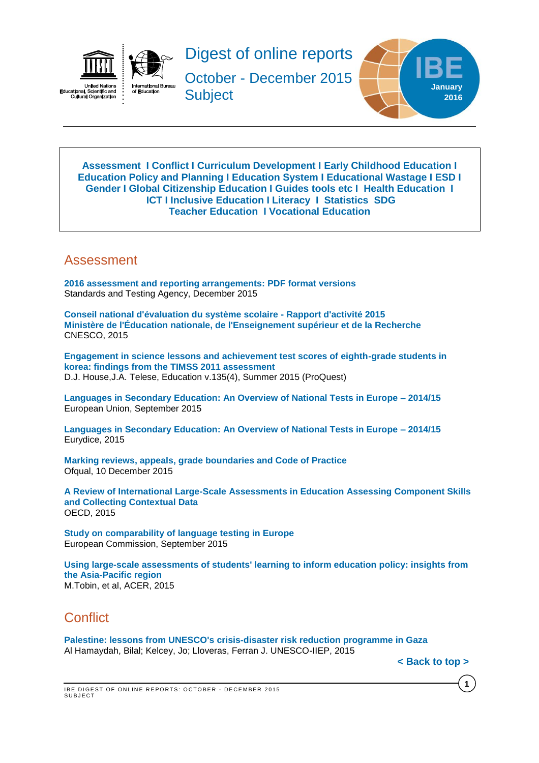



Digest of online reports

October - December 2015 **Subject** 



<span id="page-0-2"></span>**[Assessment](#page-0-0) I [Conflict](#page-0-1) I [Curriculum Development](#page-1-0) I [Early Childhood Education](#page-2-0) I [Education Policy and Planning](#page-2-1) I [Education](#page-2-2) System I [Educational Wastage](#page-3-0) I ESD I [Gender](#page-3-1) I Global [Citizenship](#page-3-2) Education I Guides [tools etc](#page-3-3) I Health Education I [ICT](#page-4-0) I [Inclusive Education](#page-4-1) I [Literacy](#page-4-2) I [Statistics](#page-4-3) SDG [Teacher Education](#page-5-0) I [Vocational Education](#page-6-0)**

### <span id="page-0-0"></span>Assessment

**[2016 assessment and reporting arrangements: PDF format versions](https://www.gov.uk/government/publications/2016-assessment-and-reporting-arrangements-pdf-format-versions)** Standards and Testing Agency, December 2015

**[Conseil national d'évaluation du système scolaire -](http://www.ladocumentationfrancaise.fr/var/storage/rapports-publics/154000850.pdf) Rapport d'activité 2015 [Ministère de l'Éducation nationale, de l'Enseignement supérieur et de la Recherche](http://www.ladocumentationfrancaise.fr/var/storage/rapports-publics/154000850.pdf)** CNESCO, 2015

**[Engagement in science lessons and achievement test scores of eighth-grade students in](http://search.proquest.com/pqcentral/docview/1717289964/43B36E04C9AC4159PQ/101?accountid=41859)  [korea: findings from the TIMSS 2011 assessment](http://search.proquest.com/pqcentral/docview/1717289964/43B36E04C9AC4159PQ/101?accountid=41859)** D.J. House,J.A. Telese, Education v.135(4), Summer 2015 (ProQuest)

**[Languages in Secondary Education: An Overview of National Tests in Europe –](https://webgate.ec.europa.eu/fpfis/mwikis/eurydice/index.php/Publications:Languages_in_Secondary_Education:_An_Overview_of_National_Tests_in_Europe_–_2014/15) 2014/15** European Union, September 2015

**[Languages in Secondary Education: An Overview of National Tests in Europe –](http://eacea.ec.europa.eu/education/eurydice/documents/facts_and_figures/187EN.pdf) 2014/15** Eurydice, 2015

**[Marking reviews, appeals, grade boundaries and Code of Practice](https://www.gov.uk/government/consultations/marking-reviews-appeals-grade-boundaries-and-code-of-practice)** Ofqual, 10 December 2015

**[A Review of International Large-Scale Assessments in Education Assessing Component Skills](http://www.oecd-ilibrary.org/docserver/download/9815041e.pdf?expires=1453806397&id=id&accname=guest&checksum=7772DFED9F575D6D9F6B98C3C438EA7E)  [and Collecting Contextual Data](http://www.oecd-ilibrary.org/docserver/download/9815041e.pdf?expires=1453806397&id=id&accname=guest&checksum=7772DFED9F575D6D9F6B98C3C438EA7E)** OECD, 2015

**[Study on comparability of language testing in Europe](http://ec.europa.eu/languages/library/documents/edl-report_en.pdf)** European Commission, September 2015

**[Using large-scale assessments of students' learning to inform education policy: insights from](http://unesdoc.unesco.org/images/0023/002354/235469e.pdf)  [the Asia-Pacific region](http://unesdoc.unesco.org/images/0023/002354/235469e.pdf)** M.Tobin, et al, ACER, 2015

## <span id="page-0-1"></span>**Conflict**

**[Palestine: lessons from UNESCO's crisis-disaster risk reduction programme in Gaza](http://unesdoc.unesco.org/images/0023/002347/234791e.pdf)** Al Hamaydah, Bilal; Kelcey, Jo; Lloveras, Ferran J. UNESCO-IIEP, 2015

**[< Back to top >](#page-0-2)**

**1**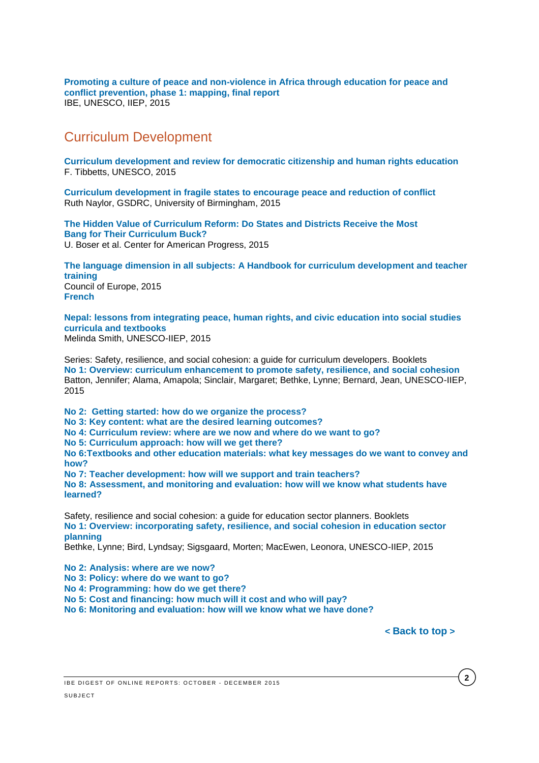**[Promoting a culture of peace and non-violence in Africa through education for peace and](http://unesdoc.unesco.org/images/0023/002346/234682e.pdf)  [conflict prevention, phase 1: mapping, final report](http://unesdoc.unesco.org/images/0023/002346/234682e.pdf)** IBE, UNESCO, IIEP, 2015

### <span id="page-1-0"></span>Curriculum Development

**[Curriculum development and review for democratic citizenship and human rights education](http://unesdoc.unesco.org/images/0023/002343/234386e.pdf)** F. Tibbetts, UNESCO, 2015

**[Curriculum development in fragile states to encourage peace and reduction of conflict](http://www.gsdrc.org/wp-content/uploads/2015/12/HDQ1313.pdf)** Ruth Naylor, GSDRC, University of Birmingham, 2015

**[The Hidden Value of Curriculum Reform: Do States and Districts Receive the Most](https://cdn.americanprogress.org/wp-content/uploads/2015/10/06111518/CurriculumMatters-report.pdf)  [Bang for Their Curriculum Buck?](https://cdn.americanprogress.org/wp-content/uploads/2015/10/06111518/CurriculumMatters-report.pdf)** U. Boser et al. Center for American Progress, 2015

**[The language dimension in all subjects: A Handbook for curriculum development and teacher](http://www.coe.int/t/dg4/linguistic/Source/Handbook-Scol_final_EN.pdf)  [training](http://www.coe.int/t/dg4/linguistic/Source/Handbook-Scol_final_EN.pdf)** Council of Europe, 2015 **[French](http://www.coe.int/t/dg4/linguistic/Source/Handbook-Scol_final_FR.pdf)**

**[Nepal: lessons from integrating peace, human rights, and civic education into social studies](http://unesdoc.unesco.org/images/0023/002347/234790e.pdf)  [curricula and textbooks](http://unesdoc.unesco.org/images/0023/002347/234790e.pdf)** Melinda Smith, UNESCO-IIEP, 2015

Series: Safety, resilience, and social cohesion: a guide for curriculum developers. Booklets **[No 1: Overview: curriculum enhancement to promote safety, resilience, and social cohesion](http://unesdoc.unesco.org/images/0023/002348/234808e.pdf)** Batton, Jennifer; Alama, Amapola; Sinclair, Margaret; Bethke, Lynne; Bernard, Jean, UNESCO-IIEP, 2015

**[No 2: Getting started: how do we organize the process?](http://unesdoc.unesco.org/images/0023/002348/234812e.pdf)**

**[No 3: Key content: what are the desired learning outcomes?](http://unesdoc.unesco.org/images/0023/002348/234814e.pdf)**

**[No 4: Curriculum review: where are we now and where do we want to go?](http://unesdoc.unesco.org/images/0023/002348/234815e.pdf)**

**[No 5: Curriculum approach: how will we get there?](http://unesdoc.unesco.org/images/0023/002348/234816e.pdf)**

**[No 6:Textbooks and other education materials: what key messages do we want to convey and](http://unesdoc.unesco.org/images/0023/002348/234817e.pdf)  [how?](http://unesdoc.unesco.org/images/0023/002348/234817e.pdf)**

**No 7: [Teacher development: how will we support and train teachers?](http://unesdoc.unesco.org/images/0023/002348/234818e.pdf)**

**[No 8: Assessment, and monitoring and evaluation: how will we know what students have](http://unesdoc.unesco.org/images/0023/002348/234819e.pdf)  [learned?](http://unesdoc.unesco.org/images/0023/002348/234819e.pdf)**

Safety, resilience and social cohesion: a guide for education sector planners. Booklets **[No 1: Overview: incorporating safety, resilience, and social cohesion in education sector](http://unesdoc.unesco.org/images/0023/002347/234792e.pdf)  [planning](http://unesdoc.unesco.org/images/0023/002347/234792e.pdf)**

Bethke, Lynne; Bird, Lyndsay; Sigsgaard, Morten; MacEwen, Leonora, UNESCO-IIEP, 2015

**[No 2: Analysis: where are we now?](http://unesdoc.unesco.org/images/0023/002347/234793e.pdf)**

**[No 3: Policy: where do we want to go?](http://unesdoc.unesco.org/images/0023/002347/234795e.pdf)**

**[No 4: Programming: how do we get there?](http://unesdoc.unesco.org/images/0023/002347/234796e.pdf)**

**[No 5: Cost and financing: how much will it cost and who will pay?](http://unesdoc.unesco.org/images/0023/002347/234798e.pdf)**

**[No 6: Monitoring and evaluation: how will we know what we have done?](http://unesdoc.unesco.org/images/0023/002348/234805e.pdf)**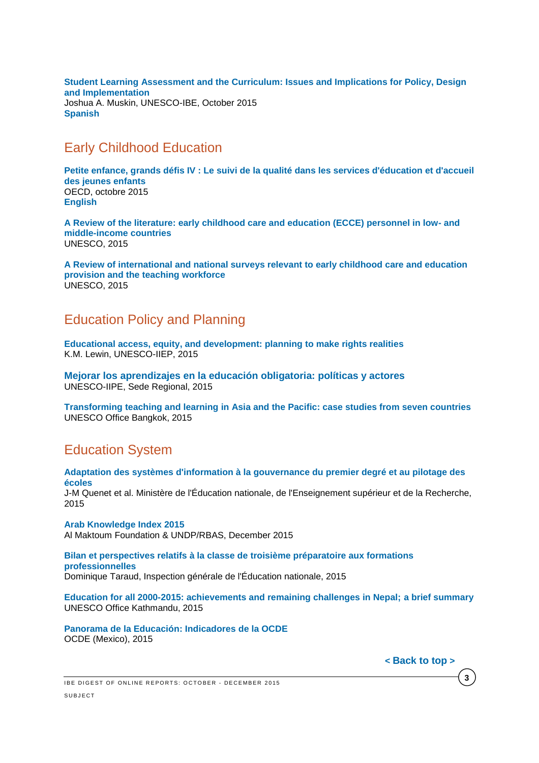**[Student Learning Assessment and the Curriculum: Issues and Implications for Policy, Design](http://www.ibe.unesco.org/inprogress-reflections/IPR1-Muskin-AssessmentCurriculum_eng.pdf)  [and Implementation](http://www.ibe.unesco.org/inprogress-reflections/IPR1-Muskin-AssessmentCurriculum_eng.pdf)** Joshua A. Muskin, UNESCO-IBE, October 2015 **[Spanish](http://www.ibe.unesco.org/inprogress-reflections/IPR1-Muskin-AssessmentCurriculum_spa.pdf)**

## <span id="page-2-0"></span>Early Childhood Education

**[Petite enfance, grands défis IV : Le suivi de la qualité dans les services d'éducation et d'accueil](http://www.oecd-ilibrary.org/education/petite-enfance-grands-defis-iv_9789264246171-fr;jsessionid=2s1oenthije7i.x-oecd-live-03)  [des jeunes enfants](http://www.oecd-ilibrary.org/education/petite-enfance-grands-defis-iv_9789264246171-fr;jsessionid=2s1oenthije7i.x-oecd-live-03)** OECD, octobre 2015 **[English](http://www.oecd-ilibrary.org/education/starting-strong-iv_9789264233515-en)**

**[A Review of the literature: early childhood care and education \(ECCE\) personnel in low-](http://unesdoc.unesco.org/images/0023/002349/234988e.pdf) and [middle-income countries](http://unesdoc.unesco.org/images/0023/002349/234988e.pdf)** UNESCO, 2015

**[A Review of international and national surveys relevant to early childhood care and education](http://unesdoc.unesco.org/images/0024/002430/243095e.pdf)  [provision and the teaching workforce](http://unesdoc.unesco.org/images/0024/002430/243095e.pdf)** UNESCO, 2015

## <span id="page-2-1"></span>Education Policy and Planning

**[Educational access, equity, and development: planning to make rights realities](http://unesdoc.unesco.org/images/0023/002350/235003e.pdf)** K.M. Lewin, UNESCO-IIEP, 2015

**[Mejorar los aprendizajes en la educación obligatoria: políticas y actores](http://unesdoc.unesco.org/images/0023/002349/234977s.pdf)** UNESCO-IIPE, Sede Regional, 2015

**[Transforming teaching and learning in Asia and the Pacific: case studies from seven countries](http://unesdoc.unesco.org/images/0023/002329/232909e.pdf)** UNESCO Office Bangkok, 2015

# <span id="page-2-2"></span>Education System

**[Adaptation des systèmes d'information à la gouvernance du premier degré et au pilotage des](http://www.ladocumentationfrancaise.fr/var/storage/rapports-publics/154000752.pdf)  [écoles](http://www.ladocumentationfrancaise.fr/var/storage/rapports-publics/154000752.pdf)**

J-M Quenet et al. Ministère de l'Éducation nationale, de l'Enseignement supérieur et de la Recherche, 2015

**[Arab Knowledge Index 2015](http://www.knowledge4all.com/uploads/files/AKI2015/PDFEn/AKI2015_Full_En.pdf)** Al Maktoum Foundation & UNDP/RBAS, December 2015

**[Bilan et perspectives relatifs à la classe de troisième préparatoire aux formations](http://www.ladocumentationfrancaise.fr/var/storage/rapports-publics/154000823.pdf)  [professionnelles](http://www.ladocumentationfrancaise.fr/var/storage/rapports-publics/154000823.pdf)** Dominique Taraud, Inspection générale de l'Éducation nationale, 2015

**[Education for all 2000-2015: achievements and remaining challenges in Nepal;](http://unesdoc.unesco.org/images/0024/002428/242888m.pdf) a brief summary**  UNESCO Office Kathmandu, 2015

**[Panorama de la Educación: Indicadores](http://www.oecd.org/mexico/Education-at-a-glance-2015-Mexico-in-Spanish.pdf) de la OCDE** OCDE (Mexico), 2015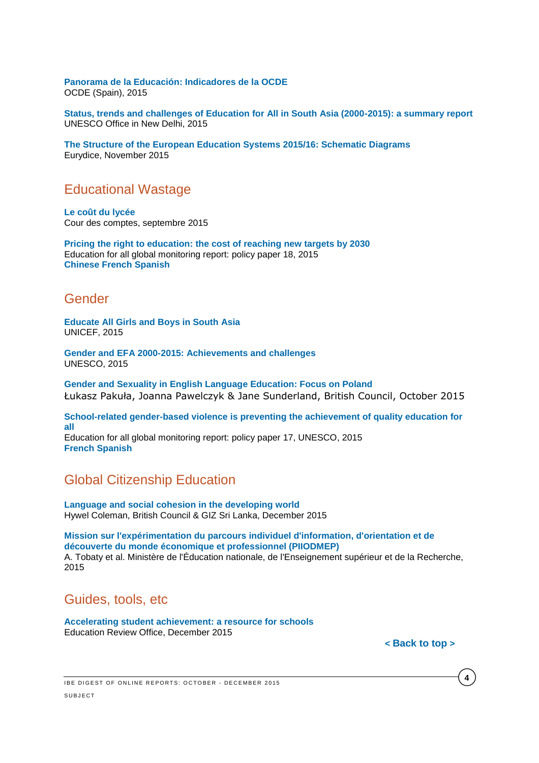**[Panorama de la Educación: Indicadores de la OCDE](http://www.oecd.org/spain/Education-at-a-glance-2015-Spain-in-Spanish.pdf)** OCDE (Spain), 2015

**[Status, trends and challenges of Education for All in South Asia \(2000-2015\): a summary report](http://unesdoc.unesco.org/images/0023/002349/234967e.pdf)** UNESCO Office in New Delhi, 2015

**[The Structure of the European Education Systems 2015/16: Schematic Diagrams](https://webgate.ec.europa.eu/fpfis/mwikis/eurydice/index.php/Publications:The_Structure_of_the_European_Education_Systems_2015/16:_Schematic_Diagrams)** Eurydice, November 2015

### <span id="page-3-0"></span>Educational Wastage

**[Le coût du lycée](http://www.ladocumentationfrancaise.fr/var/storage/rapports-publics/154000683.pdf)** Cour des comptes, septembre 2015

**[Pricing the right to education: the cost of reaching new targets by 2030](http://unesdoc.unesco.org/images/0023/002321/232197e.pdf)** Education for all global monitoring report: policy paper 18, 2015 **[Chinese](http://unesdoc.unesco.org/images/0023/002321/232197c.pdf) [French](http://unesdoc.unesco.org/images/0023/002321/232197f.pdf) [Spanish](http://unesdoc.unesco.org/images/0023/002321/232197s.pdf)**

### <span id="page-3-1"></span>Gender

**[Educate All Girls and Boys in South Asia](http://www.unicef.org/education/files/EducateAllGirlsandBoys-UNICEF_ROSA.pdf)** UNICEF, 2015

**[Gender and EFA 2000-2015: Achievements and challenges](http://unesdoc.unesco.org/images/0023/002348/234809E.pdf?new)** UNESCO, 2015

**[Gender and Sexuality in English Language Education: Focus on Poland](http://www.teachingenglish.org.uk/sites/teacheng/files/F119%20Gender%20and%20Sexuality_FINAL%20web%20v3.pdf)** Łukasz Pakuła, Joanna Pawelczyk & Jane Sunderland, British Council, October 2015

**[School-related gender-based violence is preventing the achievement of quality education for](http://unesdoc.unesco.org/images/0023/002321/232107e.pdf)  [all](http://unesdoc.unesco.org/images/0023/002321/232107e.pdf)** Education for all global monitoring report: policy paper 17, UNESCO, 2015 **[French](http://unesdoc.unesco.org/images/0023/002321/232107f.pdf) [Spanish](http://unesdoc.unesco.org/images/0023/002321/232107s.pdf)**

## <span id="page-3-2"></span>Global Citizenship Education

**[Language and social cohesion in the developing world](http://www.teachingenglish.org.uk/sites/teacheng/files/language%20and%20social%20cohesion.pdf)** Hywel Coleman, British Council & GIZ Sri Lanka, December 2015

**[Mission sur l'expérimentation du parcours individuel d'information, d'orientation et de](http://www.ladocumentationfrancaise.fr/var/storage/rapports-publics/154000750.pdf)  [découverte du monde économique et professionnel \(PIIODMEP\)](http://www.ladocumentationfrancaise.fr/var/storage/rapports-publics/154000750.pdf)** A. Tobaty et al. Ministère de l'Éducation nationale, de l'Enseignement supérieur et de la Recherche, 2015

## <span id="page-3-3"></span>Guides, tools, etc

**[Accelerating student achievement: a resource for schools](http://www.ero.govt.nz/National-Reports/Accelerating-student-achievement-a-resource-for-schools-December-2015)** Education Review Office, December 2015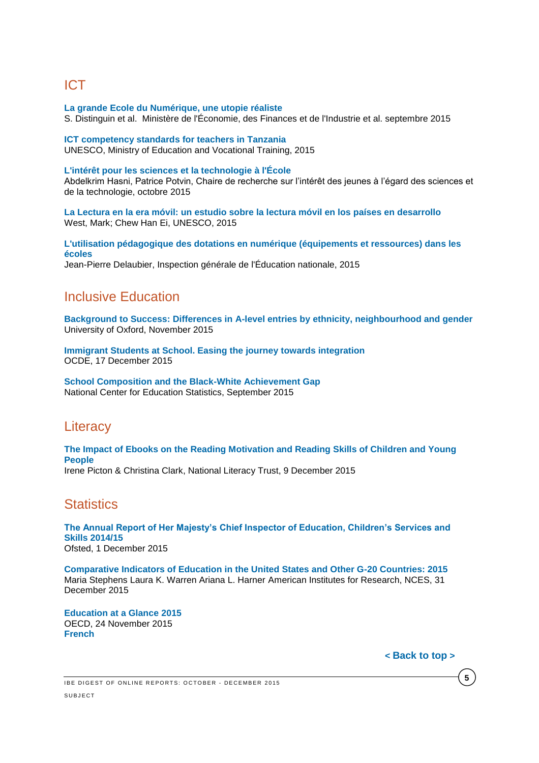# <span id="page-4-0"></span>ICT

**[La grande Ecole du Numérique, une utopie réaliste](http://www.ladocumentationfrancaise.fr/var/storage/rapports-publics/154000659.pdf)** S. Distinguin et al. Ministère de l'Économie, des Finances et de l'Industrie et al. septembre 2015

**[ICT competency standards for teachers in Tanzania](http://unesdoc.unesco.org/images/0023/002348/234822e.pdf)** UNESCO, Ministry of Education and Vocational Training, 2015

#### **[L'intérêt pour les sciences et la technologie à l'École](http://www.crijest.org/sites/crijest.org/files/Hasni-Potvin-Rapport-CRIJEST-2015-VF.pdf)**

Abdelkrim Hasni, Patrice Potvin, Chaire de recherche sur l'intérêt des jeunes à l'égard des sciences et de la technologie, octobre 2015

**[La Lectura en la era móvil: un estudio sobre la lectura móvil en los países en desarrollo](http://unesdoc.unesco.org/images/0023/002338/233828s.pdf)** West, Mark; Chew Han Ei, UNESCO, 2015

**[L'utilisation pédagogique des dotations en numérique \(équipements et ressources\) dans les](http://www.ladocumentationfrancaise.fr/var/storage/rapports-publics/154000834.pdf)  [écoles](http://www.ladocumentationfrancaise.fr/var/storage/rapports-publics/154000834.pdf)** Jean-Pierre Delaubier, Inspection générale de l'Éducation nationale, 2015

### <span id="page-4-1"></span>Inclusive Education

**[Background to Success: Differences in A-level entries by ethnicity, neighbourhood and gender](http://www.suttontrust.com/wp-content/uploads/2015/11/Background-to-Success-Final.pdf)** University of Oxford, November 2015

**[Immigrant Students at School. Easing the journey towards integration](http://www.oecd-ilibrary.org/docserver/download/9115111e.pdf?expires=1450345229&id=id&accname=ocid195767&checksum=E178CBEB45DCFEBA0637470AEC2D7DC3)** OCDE, 17 December 2015

**[School Composition and the Black-White Achievement Gap](http://nces.ed.gov/pubsearch/pubsinfo.asp?pubid=2015018)** National Center for Education Statistics, September 2015

## <span id="page-4-2"></span>**Literacy**

**[The Impact of Ebooks on the Reading Motivation and Reading Skills of Children and Young](http://www.literacytrust.org.uk/assets/0002/9076/The_Impact_of_Ebooks_final_report.pdf)  [People](http://www.literacytrust.org.uk/assets/0002/9076/The_Impact_of_Ebooks_final_report.pdf)** Irene Picton & Christina Clark, National Literacy Trust, 9 December 2015

### <span id="page-4-3"></span>**Statistics**

**[The Annual Report of Her Majesty's Chief Inspector of Education, Children's Services and](https://www.gov.uk/government/uploads/system/uploads/attachment_data/file/480959/Ofsted_annual_report_education_and_skills.pdf)  [Skills 2014/15](https://www.gov.uk/government/uploads/system/uploads/attachment_data/file/480959/Ofsted_annual_report_education_and_skills.pdf)** Ofsted, 1 December 2015

**[Comparative Indicators of Education in the United States and Other G-20 Countries: 2015](http://nces.ed.gov/pubs2016/2016100.pdf)** Maria Stephens Laura K. Warren Ariana L. Harner American Institutes for Research, NCES, 31 December 2015

**[Education at a Glance](http://www.oecd-ilibrary.org/education/education-at-a-glance-2015_eag-2015-en) 2015** OECD, 24 November 2015 **[French](http://www.oecd-ilibrary.org/education/regards-sur-l-education-2015_eag-2015-fr)**

**< [Back](#page-0-2) to top >**

**5**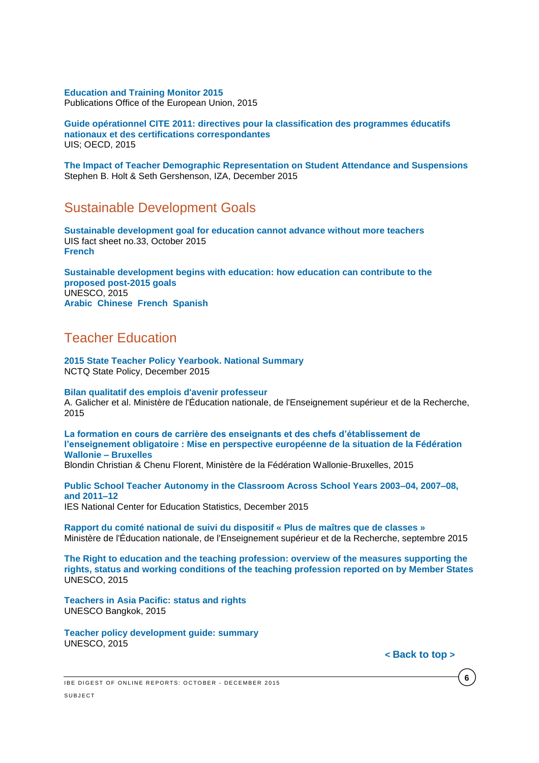#### **[Education and Training Monitor 2015](http://ec.europa.eu/education/library/publications/monitor15_en.pdf)**

Publications Office of the European Union, 2015

**[Guide opérationnel CITE 2011: directives pour la classification des programmes éducatifs](http://unesdoc.unesco.org/images/0024/002429/242957f.pdf)  [nationaux et des certifications correspondantes](http://unesdoc.unesco.org/images/0024/002429/242957f.pdf)** UIS; OECD, 2015

**[The Impact of Teacher Demographic Representation on Student Attendance and Suspensions](http://ftp.iza.org/dp9554.pdf)** Stephen B. Holt & Seth Gershenson, IZA, December 2015

#### Sustainable Development Goals

**[Sustainable development goal for education cannot advance without more teachers](http://unesdoc.unesco.org/images/0023/002347/234710e.pdf)** UIS fact sheet no.33, October 2015 **[French](http://unesdoc.unesco.org/images/0023/002347/234710f.pdf)**

**[Sustainable development begins with education: how education can contribute to the](http://unesdoc.unesco.org/images/0023/002305/230508e.pdf)  [proposed post-2015 goals](http://unesdoc.unesco.org/images/0023/002305/230508e.pdf)** UNESCO, 2015 **[Arabic](http://unesdoc.unesco.org/images/0023/002305/230508a.pdf) [Chinese](http://unesdoc.unesco.org/images/0023/002305/230508c.pdf) [French](http://unesdoc.unesco.org/images/0023/002305/230508f.pdf) [Spanish](http://unesdoc.unesco.org/images/0023/002305/230508s.pdf)**

## <span id="page-5-0"></span>Teacher Education

**[2015 State Teacher Policy Yearbook. National Summary](http://www.nctq.org/dmsView/2015_State_Teacher_Policy_Yearbook_National_Summary_NCTQ_Report)** NCTQ State Policy, December 2015

#### **[Bilan qualitatif des emplois d'avenir professeur](http://www.ladocumentationfrancaise.fr/var/storage/rapports-publics/154000751.pdf)**

A. Galicher et al. Ministère de l'Éducation nationale, de l'Enseignement supérieur et de la Recherche, 2015

**[La formation en cours de carrière des enseignants et des chefs d'établissement de](http://orbi.ulg.ac.be/bitstream/2268/169117/2/La_formation_et_le_developpement_professionnel_des_enseignants.pdf)  [l'enseignement obligatoire : Mise en perspective européenne de la situation de la Fédération](http://orbi.ulg.ac.be/bitstream/2268/169117/2/La_formation_et_le_developpement_professionnel_des_enseignants.pdf)  [Wallonie –](http://orbi.ulg.ac.be/bitstream/2268/169117/2/La_formation_et_le_developpement_professionnel_des_enseignants.pdf) Bruxelles**

Blondin Christian & Chenu Florent, Ministère de la Fédération Wallonie-Bruxelles, 2015

**Public School [Teacher Autonomy in the Classroom Across School Years 2003–04, 2007–08,](http://nces.ed.gov/pubs2015/2015089.pdf)  [and 2011–12](http://nces.ed.gov/pubs2015/2015089.pdf)** IES National Center for Education Statistics, December 2015

**[Rapport du comité national de suivi du dispositif « Plus de maîtres que de classes »](http://www.ladocumentationfrancaise.fr/var/storage/rapports-publics/154000708.pdf)** Ministère de l'Éducation nationale, de l'Enseignement supérieur et de la Recherche, septembre 2015

**[The Right to education and the teaching profession: overview of the measures supporting the](http://unesdoc.unesco.org/images/0023/002348/234820e.pdf)  [rights, status and working conditions of the teaching profession reported on by Member States](http://unesdoc.unesco.org/images/0023/002348/234820e.pdf)** UNESCO, 2015

**[Teachers in Asia Pacific: status and rights](http://unesdoc.unesco.org/images/0023/002347/234756e.pdf)** UNESCO Bangkok, 2015

**[Teacher policy development guide: summary](http://unesdoc.unesco.org/images/0023/002352/235272e.pdf)** UNESCO, 2015